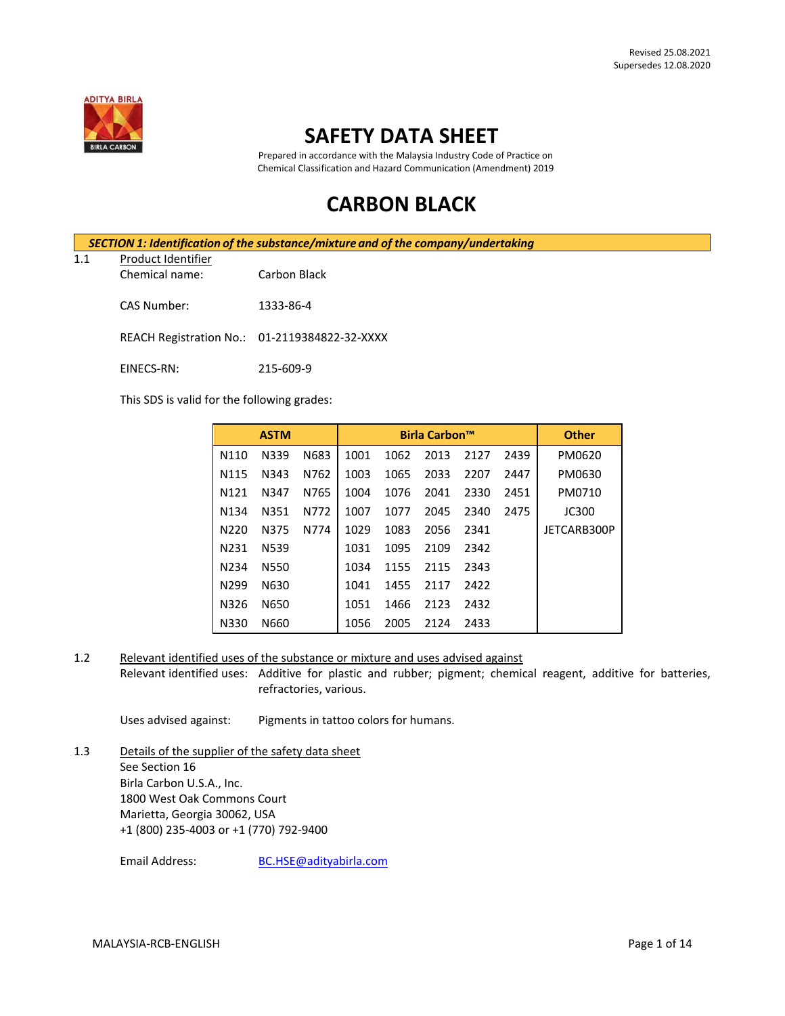

## **SAFETY DATA SHEET**

Prepared in accordance with the Malaysia Industry Code of Practice on Chemical Classification and Hazard Communication (Amendment) 2019

# **CARBON BLACK**

|     |                    | SECTION 1: Identification of the substance/mixture and of the company/undertaking |  |
|-----|--------------------|-----------------------------------------------------------------------------------|--|
| 1.1 | Product Identifier |                                                                                   |  |

#### Chemical name: Carbon Black

CAS Number: 1333-86-4

REACH Registration No.: 01-2119384822-32-XXXX

EINECS-RN: 215-609-9

This SDS is valid for the following grades:

|                   | <b>ASTM</b> |      |      |      | <b>Birla Carbon™</b> |      |      | <b>Other</b> |
|-------------------|-------------|------|------|------|----------------------|------|------|--------------|
| N110              | N339        | N683 | 1001 | 1062 | 2013                 | 2127 | 2439 | PM0620       |
| N115              | N343        | N762 | 1003 | 1065 | 2033                 | 2207 | 2447 | PM0630       |
| N <sub>121</sub>  | N347        | N765 | 1004 | 1076 | 2041                 | 2330 | 2451 | PM0710       |
| N <sub>1</sub> 34 | N351        | N772 | 1007 | 1077 | 2045                 | 2340 | 2475 | <b>JC300</b> |
| N220              | N375        | N774 | 1029 | 1083 | 2056                 | 2341 |      | JETCARB300P  |
| N <sub>2</sub> 31 | N539        |      | 1031 | 1095 | 2109                 | 2342 |      |              |
| N234              | N550        |      | 1034 | 1155 | 2115                 | 2343 |      |              |
| N <sub>299</sub>  | N630        |      | 1041 | 1455 | 2117                 | 2422 |      |              |
| N326              | N650        |      | 1051 | 1466 | 2123                 | 2432 |      |              |
| N330              | N660        |      | 1056 | 2005 | 2124                 | 2433 |      |              |

1.2 Relevant identified uses of the substance or mixture and uses advised against

Relevant identified uses: Additive for plastic and rubber; pigment; chemical reagent, additive for batteries, refractories, various.

Uses advised against: Pigments in tattoo colors for humans.

1.3 Details of the supplier of the safety data sheet See Section 16 Birla Carbon U.S.A., Inc. 1800 West Oak Commons Court Marietta, Georgia 30062, USA +1 (800) 235-4003 or +1 (770) 792-9400

Email Address: [BC.HSE@adityabirla.com](mailto:BC.HSE@adityabirla.com)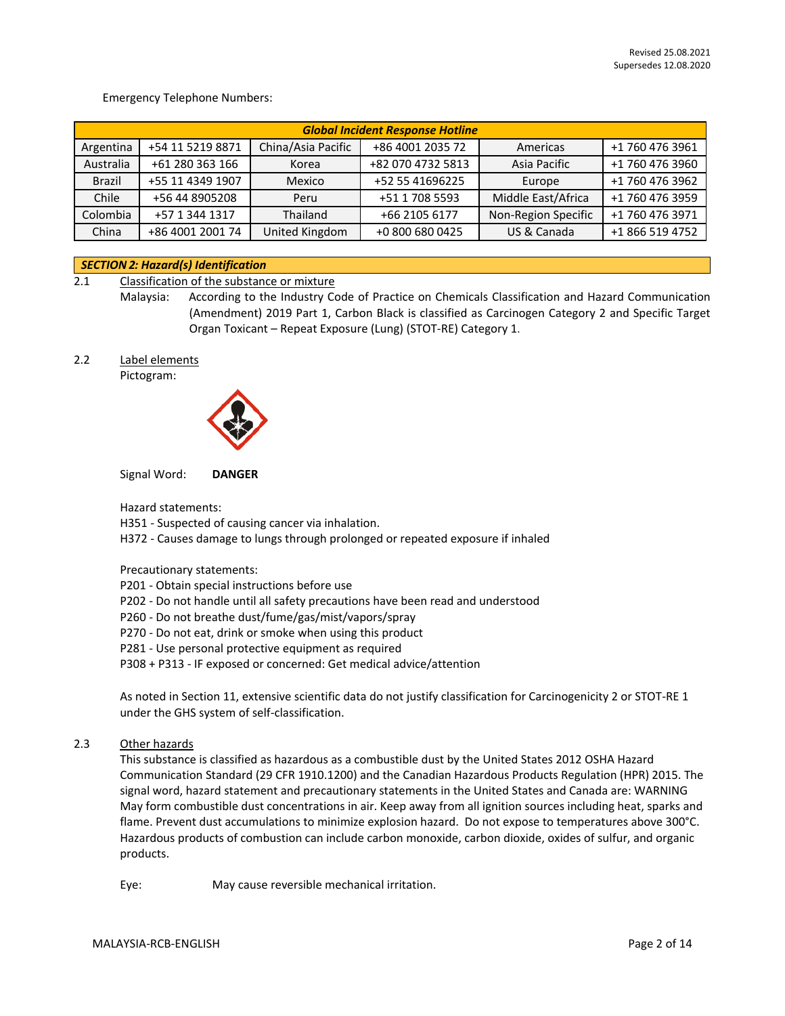Emergency Telephone Numbers:

|           | <b>Global Incident Response Hotline</b> |                    |                   |                     |                 |  |
|-----------|-----------------------------------------|--------------------|-------------------|---------------------|-----------------|--|
| Argentina | +54 11 5219 8871                        | China/Asia Pacific | +86 4001 2035 72  | Americas            | +1 760 476 3961 |  |
| Australia | +61 280 363 166                         | Korea              | +82 070 4732 5813 | Asia Pacific        | +1 760 476 3960 |  |
| Brazil    | +55 11 4349 1907                        | Mexico             | +52 55 41696225   | Europe              | +1 760 476 3962 |  |
| Chile     | +56 44 8905208                          | Peru               | +51 1 708 5593    | Middle East/Africa  | +1 760 476 3959 |  |
| Colombia  | +57 1 344 1317                          | Thailand           | +66 2105 6177     | Non-Region Specific | +1 760 476 3971 |  |
| China     | +86 4001 2001 74                        | United Kingdom     | +0 800 680 0425   | US & Canada         | +1 866 519 4752 |  |

#### *SECTION 2: Hazard(s) Identification*

2.1 Classification of the substance or mixture

Malaysia: According to the Industry Code of Practice on Chemicals Classification and Hazard Communication (Amendment) 2019 Part 1, Carbon Black is classified as Carcinogen Category 2 and Specific Target Organ Toxicant – Repeat Exposure (Lung) (STOT-RE) Category 1.

2.2 Label elements

Pictogram:



Signal Word: **DANGER**

Hazard statements:

H351 - Suspected of causing cancer via inhalation.

H372 - Causes damage to lungs through prolonged or repeated exposure if inhaled

Precautionary statements:

P201 - Obtain special instructions before use

- P202 Do not handle until all safety precautions have been read and understood
- P260 Do not breathe dust/fume/gas/mist/vapors/spray
- P270 Do not eat, drink or smoke when using this product
- P281 Use personal protective equipment as required

P308 + P313 - IF exposed or concerned: Get medical advice/attention

As noted in Section 11, extensive scientific data do not justify classification for Carcinogenicity 2 or STOT-RE 1 under the GHS system of self-classification.

2.3 Other hazards

This substance is classified as hazardous as a combustible dust by the United States 2012 OSHA Hazard Communication Standard (29 CFR 1910.1200) and the Canadian Hazardous Products Regulation (HPR) 2015. The signal word, hazard statement and precautionary statements in the United States and Canada are: WARNING May form combustible dust concentrations in air. Keep away from all ignition sources including heat, sparks and flame. Prevent dust accumulations to minimize explosion hazard. Do not expose to temperatures above 300°C. Hazardous products of combustion can include carbon monoxide, carbon dioxide, oxides of sulfur, and organic products.

Eye: May cause reversible mechanical irritation.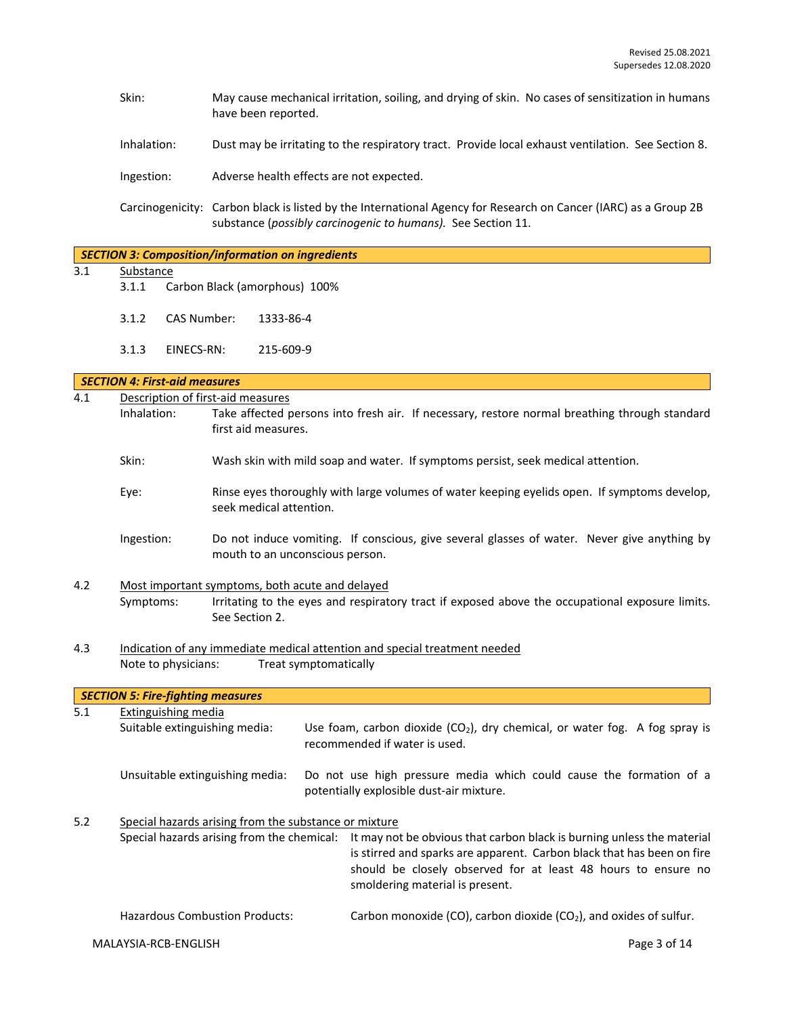- Skin: May cause mechanical irritation, soiling, and drying of skin. No cases of sensitization in humans have been reported.
- Inhalation: Dust may be irritating to the respiratory tract. Provide local exhaust ventilation. See Section 8.

Ingestion: Adverse health effects are not expected.

Carcinogenicity: Carbon black is listed by the International Agency for Research on Cancer (IARC) as a Group 2B substance (*possibly carcinogenic to humans).* See Section 11.

|     |                                                                |                                          | <b>SECTION 3: Composition/information on ingredients</b>                                                                       |
|-----|----------------------------------------------------------------|------------------------------------------|--------------------------------------------------------------------------------------------------------------------------------|
| 3.1 | Substance                                                      |                                          |                                                                                                                                |
|     | 3.1.1                                                          |                                          | Carbon Black (amorphous) 100%                                                                                                  |
|     | 3.1.2                                                          | <b>CAS Number:</b>                       | 1333-86-4                                                                                                                      |
|     | 3.1.3                                                          | EINECS-RN:                               | 215-609-9                                                                                                                      |
|     |                                                                | <b>SECTION 4: First-aid measures</b>     |                                                                                                                                |
| 4.1 |                                                                | Description of first-aid measures        |                                                                                                                                |
|     | Inhalation:                                                    |                                          | Take affected persons into fresh air. If necessary, restore normal breathing through standard<br>first aid measures.           |
|     | Skin:                                                          |                                          | Wash skin with mild soap and water. If symptoms persist, seek medical attention.                                               |
|     | Eye:                                                           |                                          | Rinse eyes thoroughly with large volumes of water keeping eyelids open. If symptoms develop,<br>seek medical attention.        |
|     | Ingestion:                                                     |                                          | Do not induce vomiting. If conscious, give several glasses of water. Never give anything by<br>mouth to an unconscious person. |
| 4.2 |                                                                |                                          | Most important symptoms, both acute and delayed                                                                                |
|     | Symptoms:                                                      |                                          | Irritating to the eyes and respiratory tract if exposed above the occupational exposure limits.<br>See Section 2.              |
| 4.3 |                                                                |                                          | Indication of any immediate medical attention and special treatment needed                                                     |
|     | Note to physicians:<br>Treat symptomatically                   |                                          |                                                                                                                                |
|     |                                                                | <b>SECTION 5: Fire-fighting measures</b> |                                                                                                                                |
| 5.1 |                                                                | <b>Extinguishing media</b>               |                                                                                                                                |
|     | Suitable extinguishing media:<br>recommended if water is used. |                                          | Use foam, carbon dioxide $(CO_2)$ , dry chemical, or water fog. A fog spray is                                                 |

Unsuitable extinguishing media: Do not use high pressure media which could cause the formation of a potentially explosible dust-air mixture.

### 5.2 Special hazards arising from the substance or mixture Special hazards arising from the chemical: It may not be obvious that carbon black is burning unless the material is stirred and sparks are apparent. Carbon black that has been on fire should be closely observed for at least 48 hours to ensure no smoldering material is present.

Hazardous Combustion Products: Carbon monoxide (CO), carbon dioxide (CO<sub>2</sub>), and oxides of sulfur.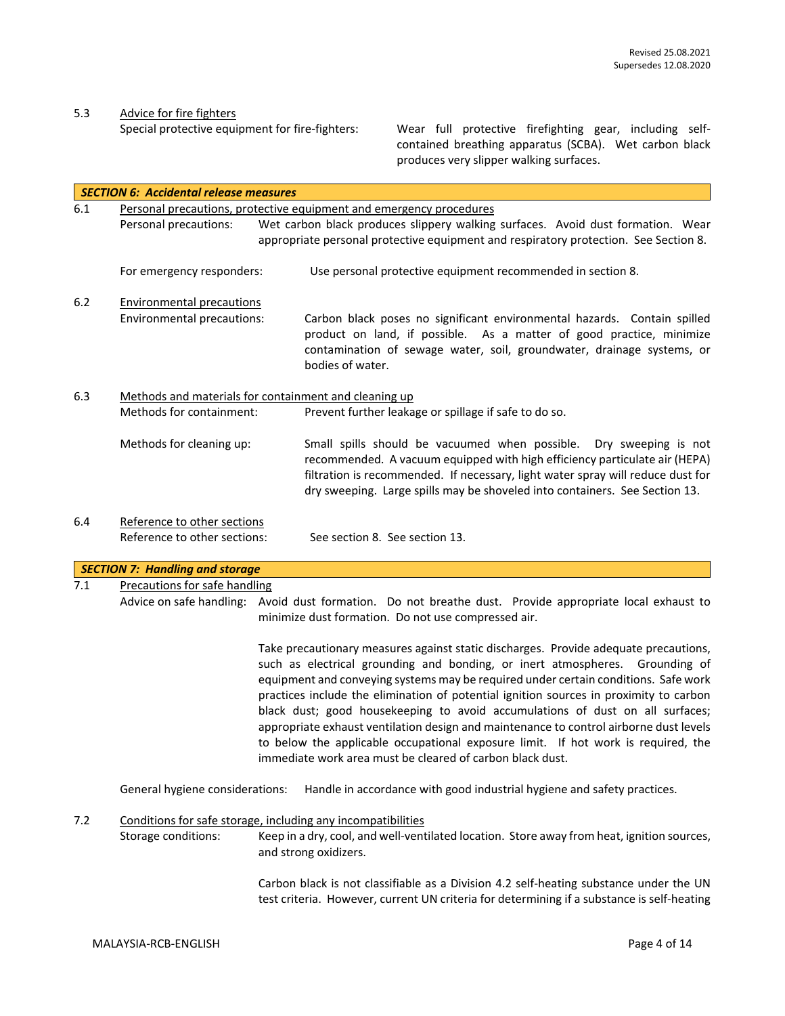5.3 Advice for fire fighters<br>Special protective equipment for fire-fighters:

Wear full protective firefighting gear, including selfcontained breathing apparatus (SCBA). Wet carbon black produces very slipper walking surfaces.

|     | <b>SECTION 6: Accidental release measures</b> |                                                                                                                                                                                                                                                                                                                                                                                                                                                                                                                                                                                                                                                                                    |  |  |  |  |
|-----|-----------------------------------------------|------------------------------------------------------------------------------------------------------------------------------------------------------------------------------------------------------------------------------------------------------------------------------------------------------------------------------------------------------------------------------------------------------------------------------------------------------------------------------------------------------------------------------------------------------------------------------------------------------------------------------------------------------------------------------------|--|--|--|--|
| 6.1 |                                               | Personal precautions, protective equipment and emergency procedures                                                                                                                                                                                                                                                                                                                                                                                                                                                                                                                                                                                                                |  |  |  |  |
|     | Personal precautions:                         | Wet carbon black produces slippery walking surfaces. Avoid dust formation. Wear                                                                                                                                                                                                                                                                                                                                                                                                                                                                                                                                                                                                    |  |  |  |  |
|     |                                               | appropriate personal protective equipment and respiratory protection. See Section 8.                                                                                                                                                                                                                                                                                                                                                                                                                                                                                                                                                                                               |  |  |  |  |
|     | For emergency responders:                     | Use personal protective equipment recommended in section 8.                                                                                                                                                                                                                                                                                                                                                                                                                                                                                                                                                                                                                        |  |  |  |  |
| 6.2 | <b>Environmental precautions</b>              |                                                                                                                                                                                                                                                                                                                                                                                                                                                                                                                                                                                                                                                                                    |  |  |  |  |
|     | Environmental precautions:                    | Carbon black poses no significant environmental hazards. Contain spilled<br>product on land, if possible. As a matter of good practice, minimize<br>contamination of sewage water, soil, groundwater, drainage systems, or<br>bodies of water.                                                                                                                                                                                                                                                                                                                                                                                                                                     |  |  |  |  |
| 6.3 |                                               | Methods and materials for containment and cleaning up                                                                                                                                                                                                                                                                                                                                                                                                                                                                                                                                                                                                                              |  |  |  |  |
|     | Methods for containment:                      | Prevent further leakage or spillage if safe to do so.                                                                                                                                                                                                                                                                                                                                                                                                                                                                                                                                                                                                                              |  |  |  |  |
|     | Methods for cleaning up:                      | Small spills should be vacuumed when possible.<br>Dry sweeping is not<br>recommended. A vacuum equipped with high efficiency particulate air (HEPA)<br>filtration is recommended. If necessary, light water spray will reduce dust for<br>dry sweeping. Large spills may be shoveled into containers. See Section 13.                                                                                                                                                                                                                                                                                                                                                              |  |  |  |  |
| 6.4 | Reference to other sections                   |                                                                                                                                                                                                                                                                                                                                                                                                                                                                                                                                                                                                                                                                                    |  |  |  |  |
|     | Reference to other sections:                  | See section 8. See section 13.                                                                                                                                                                                                                                                                                                                                                                                                                                                                                                                                                                                                                                                     |  |  |  |  |
|     |                                               |                                                                                                                                                                                                                                                                                                                                                                                                                                                                                                                                                                                                                                                                                    |  |  |  |  |
|     | <b>SECTION 7: Handling and storage</b>        |                                                                                                                                                                                                                                                                                                                                                                                                                                                                                                                                                                                                                                                                                    |  |  |  |  |
| 7.1 |                                               | Precautions for safe handling                                                                                                                                                                                                                                                                                                                                                                                                                                                                                                                                                                                                                                                      |  |  |  |  |
|     |                                               | Advice on safe handling: Avoid dust formation. Do not breathe dust. Provide appropriate local exhaust to<br>minimize dust formation. Do not use compressed air.                                                                                                                                                                                                                                                                                                                                                                                                                                                                                                                    |  |  |  |  |
|     |                                               | Take precautionary measures against static discharges. Provide adequate precautions,<br>such as electrical grounding and bonding, or inert atmospheres. Grounding of<br>equipment and conveying systems may be required under certain conditions. Safe work<br>practices include the elimination of potential ignition sources in proximity to carbon<br>black dust; good housekeeping to avoid accumulations of dust on all surfaces;<br>appropriate exhaust ventilation design and maintenance to control airborne dust levels<br>to below the applicable occupational exposure limit. If hot work is required, the<br>immediate work area must be cleared of carbon black dust. |  |  |  |  |
|     | General hygiene considerations:               | Handle in accordance with good industrial hygiene and safety practices.                                                                                                                                                                                                                                                                                                                                                                                                                                                                                                                                                                                                            |  |  |  |  |
| 7.2 |                                               | Conditions for safe storage, including any incompatibilities                                                                                                                                                                                                                                                                                                                                                                                                                                                                                                                                                                                                                       |  |  |  |  |
|     | Storage conditions:                           | Keep in a dry, cool, and well-ventilated location. Store away from heat, ignition sources,<br>and strong oxidizers.                                                                                                                                                                                                                                                                                                                                                                                                                                                                                                                                                                |  |  |  |  |
|     |                                               | Carbon black is not classifiable as a Division 4.2 self-heating substance under the UN<br>test criteria. However, current UN criteria for determining if a substance is self-heating                                                                                                                                                                                                                                                                                                                                                                                                                                                                                               |  |  |  |  |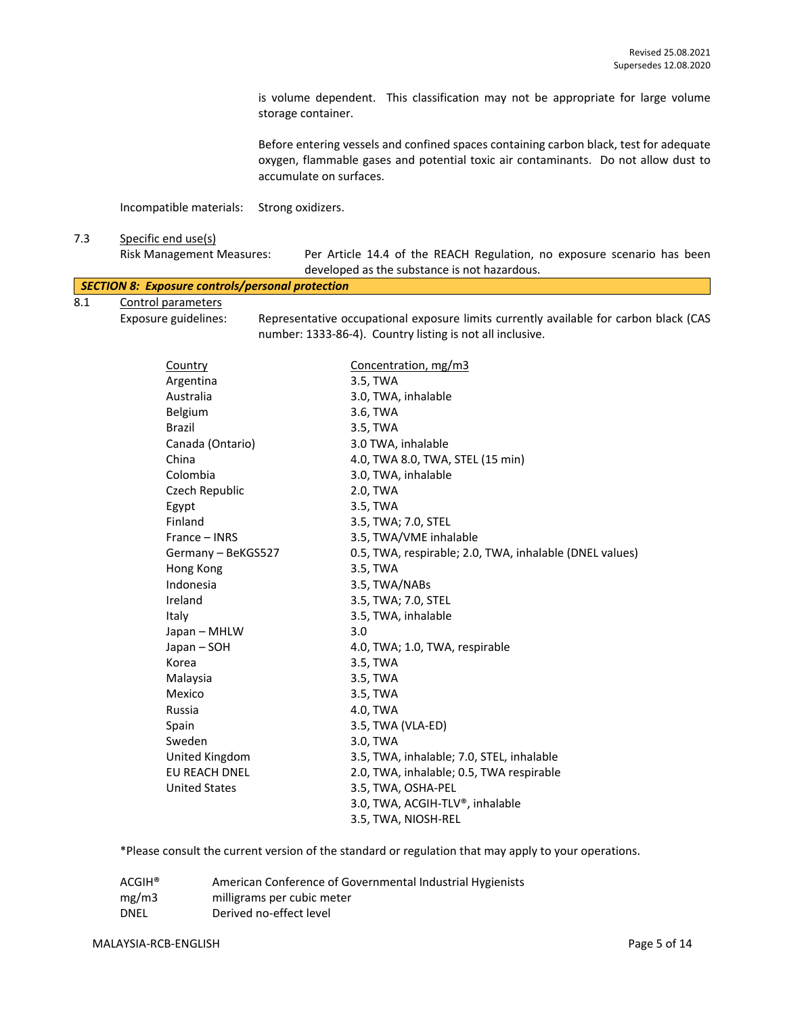is volume dependent. This classification may not be appropriate for large volume storage container.

Before entering vessels and confined spaces containing carbon black, test for adequate oxygen, flammable gases and potential toxic air contaminants. Do not allow dust to accumulate on surfaces.

Incompatible materials: Strong oxidizers.

#### 7.3 Specific end use(s)

|     | <b>Risk Management Measures:</b>                 | Per Article 14.4 of the REACH Regulation, no exposure scenario has been |
|-----|--------------------------------------------------|-------------------------------------------------------------------------|
|     |                                                  | developed as the substance is not hazardous.                            |
|     | SECTION 8: Exposure controls/personal protection |                                                                         |
| 8.1 | Control parameters                               |                                                                         |

Exposure guidelines: Representative occupational exposure limits currently available for carbon black (CAS number: 1333-86-4). Country listing is not all inclusive.

| <b>Country</b>       | Concentration, mg/m3                                    |
|----------------------|---------------------------------------------------------|
| Argentina            | 3.5, TWA                                                |
| Australia            | 3.0, TWA, inhalable                                     |
| Belgium              | 3.6, TWA                                                |
| <b>Brazil</b>        | 3.5, TWA                                                |
| Canada (Ontario)     | 3.0 TWA, inhalable                                      |
| China                | 4.0, TWA 8.0, TWA, STEL (15 min)                        |
| Colombia             | 3.0, TWA, inhalable                                     |
| Czech Republic       | 2.0, TWA                                                |
| Egypt                | 3.5, TWA                                                |
| Finland              | 3.5, TWA; 7.0, STEL                                     |
| France - INRS        | 3.5, TWA/VME inhalable                                  |
| Germany - BeKGS527   | 0.5, TWA, respirable; 2.0, TWA, inhalable (DNEL values) |
| Hong Kong            | 3.5, TWA                                                |
| Indonesia            | 3.5, TWA/NABs                                           |
| Ireland              | 3.5, TWA; 7.0, STEL                                     |
| Italy                | 3.5, TWA, inhalable                                     |
| Japan - MHLW         | 3.0                                                     |
| Japan – SOH          | 4.0, TWA; 1.0, TWA, respirable                          |
| Korea                | 3.5, TWA                                                |
| Malaysia             | 3.5, TWA                                                |
| Mexico               | 3.5, TWA                                                |
| Russia               | 4.0, TWA                                                |
| Spain                | 3.5, TWA (VLA-ED)                                       |
| Sweden               | 3.0, TWA                                                |
| United Kingdom       | 3.5, TWA, inhalable; 7.0, STEL, inhalable               |
| <b>EU REACH DNEL</b> | 2.0, TWA, inhalable; 0.5, TWA respirable                |
| <b>United States</b> | 3.5, TWA, OSHA-PEL                                      |
|                      | 3.0, TWA, ACGIH-TLV®, inhalable                         |
|                      | 3.5, TWA, NIOSH-REL                                     |

\*Please consult the current version of the standard or regulation that may apply to your operations.

| $ACGIH^*$ | American Conference of Governmental Industrial Hygienists |
|-----------|-----------------------------------------------------------|
| mg/m3     | milligrams per cubic meter                                |
| DNEL      | Derived no-effect level                                   |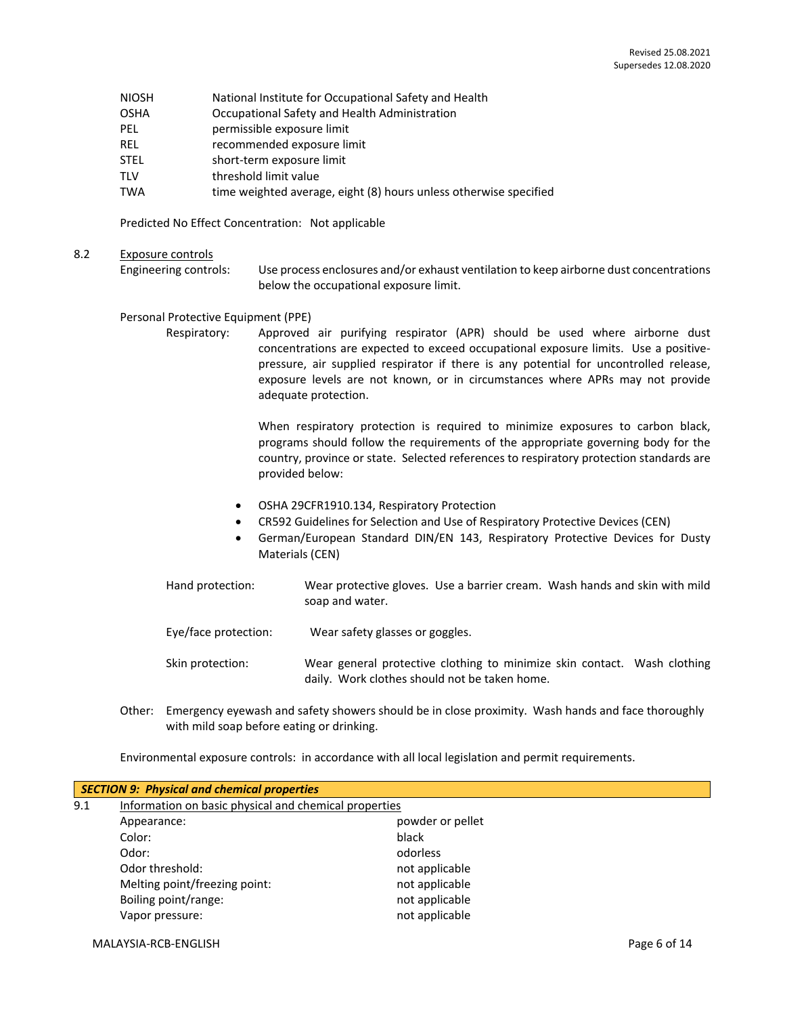- NIOSH National Institute for Occupational Safety and Health
- OSHA Occupational Safety and Health Administration
- PEL permissible exposure limit
- REL recommended exposure limit
- STEL short-term exposure limit
- TLV threshold limit value
- TWA time weighted average, eight (8) hours unless otherwise specified

Predicted No Effect Concentration: Not applicable

8.2 Exposure controls

Engineering controls: Use process enclosures and/or exhaust ventilation to keep airborne dust concentrations below the occupational exposure limit.

#### Personal Protective Equipment (PPE)

Respiratory: Approved air purifying respirator (APR) should be used where airborne dust concentrations are expected to exceed occupational exposure limits. Use a positivepressure, air supplied respirator if there is any potential for uncontrolled release, exposure levels are not known, or in circumstances where APRs may not provide adequate protection.

> When respiratory protection is required to minimize exposures to carbon black, programs should follow the requirements of the appropriate governing body for the country, province or state. Selected references to respiratory protection standards are provided below:

- OSHA 29CFR1910.134, Respiratory Protection
- CR592 Guidelines for Selection and Use of Respiratory Protective Devices (CEN)
- German/European Standard DIN/EN 143, Respiratory Protective Devices for Dusty Materials (CEN)
- Hand protection: Wear protective gloves. Use a barrier cream. Wash hands and skin with mild soap and water.
- Eye/face protection: Wear safety glasses or goggles.
- Skin protection: Wear general protective clothing to minimize skin contact. Wash clothing daily. Work clothes should not be taken home.
- Other: Emergency eyewash and safety showers should be in close proximity. Wash hands and face thoroughly with mild soap before eating or drinking.

Environmental exposure controls: in accordance with all local legislation and permit requirements.

|                                                              | <b>SECTION 9: Physical and chemical properties</b> |                  |  |  |
|--------------------------------------------------------------|----------------------------------------------------|------------------|--|--|
| Information on basic physical and chemical properties<br>9.1 |                                                    |                  |  |  |
|                                                              | Appearance:                                        | powder or pellet |  |  |
|                                                              | Color:                                             | black            |  |  |
|                                                              | Odor:                                              | odorless         |  |  |
|                                                              | Odor threshold:                                    | not applicable   |  |  |
|                                                              | Melting point/freezing point:                      | not applicable   |  |  |
|                                                              | Boiling point/range:                               | not applicable   |  |  |
|                                                              | Vapor pressure:                                    | not applicable   |  |  |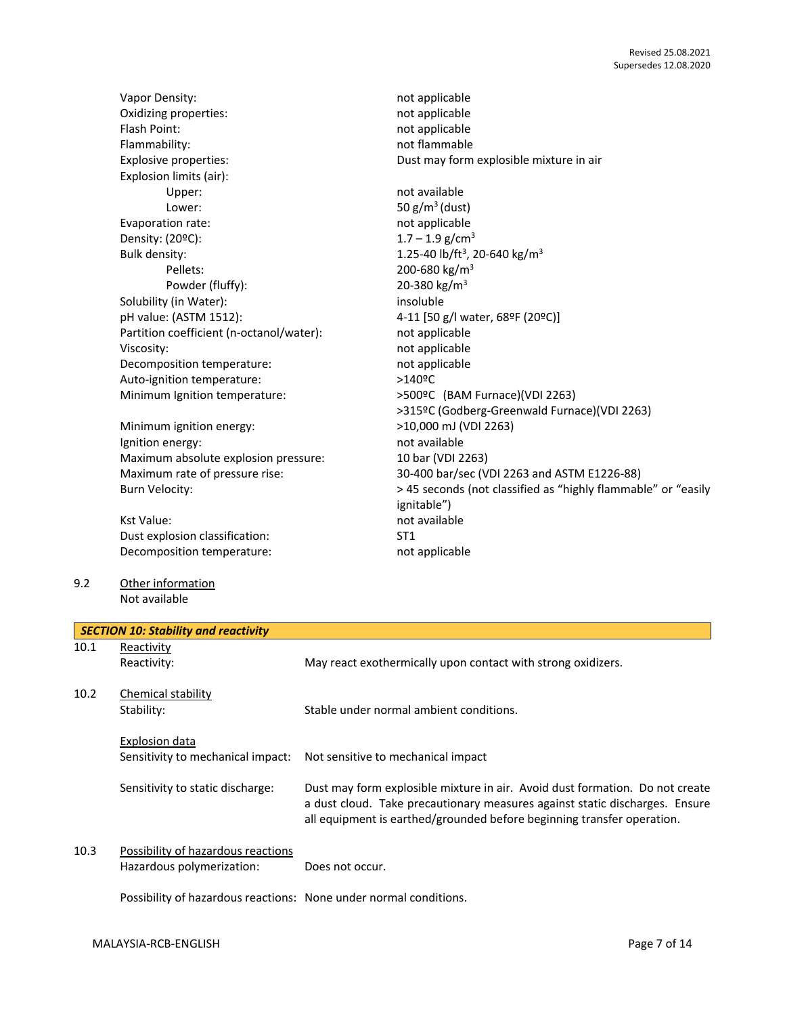|      | Vapor Density:                              | not applicable                                                               |
|------|---------------------------------------------|------------------------------------------------------------------------------|
|      | Oxidizing properties:                       | not applicable                                                               |
|      | Flash Point:                                | not applicable                                                               |
|      | Flammability:                               | not flammable                                                                |
|      | Explosive properties:                       | Dust may form explosible mixture in air                                      |
|      | Explosion limits (air):                     |                                                                              |
|      | Upper:                                      | not available                                                                |
|      | Lower:                                      | 50 $g/m^3$ (dust)                                                            |
|      | Evaporation rate:                           | not applicable                                                               |
|      | Density: (20ºC):                            | $1.7 - 1.9$ g/cm <sup>3</sup>                                                |
|      | Bulk density:                               | 1.25-40 lb/ft <sup>3</sup> , 20-640 kg/m <sup>3</sup>                        |
|      | Pellets:                                    |                                                                              |
|      |                                             | 200-680 kg/m <sup>3</sup>                                                    |
|      | Powder (fluffy):                            | 20-380 kg/m <sup>3</sup>                                                     |
|      | Solubility (in Water):                      | insoluble                                                                    |
|      | pH value: (ASTM 1512):                      | 4-11 [50 g/l water, 68ºF (20ºC)]                                             |
|      | Partition coefficient (n-octanol/water):    | not applicable                                                               |
|      | Viscosity:                                  | not applicable                                                               |
|      | Decomposition temperature:                  | not applicable                                                               |
|      | Auto-ignition temperature:                  | >140ºC                                                                       |
|      | Minimum Ignition temperature:               | >500ºC (BAM Furnace)(VDI 2263)                                               |
|      |                                             | >315ºC (Godberg-Greenwald Furnace)(VDI 2263)                                 |
|      | Minimum ignition energy:                    | >10,000 mJ (VDI 2263)                                                        |
|      | Ignition energy:                            | not available                                                                |
|      | Maximum absolute explosion pressure:        | 10 bar (VDI 2263)                                                            |
|      | Maximum rate of pressure rise:              | 30-400 bar/sec (VDI 2263 and ASTM E1226-88)                                  |
|      | <b>Burn Velocity:</b>                       | > 45 seconds (not classified as "highly flammable" or "easily                |
|      |                                             | ignitable")                                                                  |
|      | <b>Kst Value:</b>                           | not available                                                                |
|      | Dust explosion classification:              | ST <sub>1</sub>                                                              |
|      | Decomposition temperature:                  | not applicable                                                               |
|      |                                             |                                                                              |
| 9.2  | Other information                           |                                                                              |
|      | Not available                               |                                                                              |
|      |                                             |                                                                              |
|      | <b>SECTION 10: Stability and reactivity</b> |                                                                              |
| 10.1 | Reactivity                                  |                                                                              |
|      | Reactivity:                                 | May react exothermically upon contact with strong oxidizers.                 |
|      |                                             |                                                                              |
| 10.2 | Chemical stability                          |                                                                              |
|      | Stability:                                  | Stable under normal ambient conditions.                                      |
|      |                                             |                                                                              |
|      | <b>Explosion data</b>                       |                                                                              |
|      | Sensitivity to mechanical impact:           | Not sensitive to mechanical impact                                           |
|      |                                             |                                                                              |
|      | Sensitivity to static discharge:            | Dust may form explosible mixture in air. Avoid dust formation. Do not create |
|      |                                             | a dust cloud. Take precautionary measures against static discharges. Ensure  |
|      |                                             | all equipment is earthed/grounded before beginning transfer operation.       |
|      |                                             |                                                                              |
| 10.3 | Possibility of hazardous reactions          |                                                                              |
|      |                                             |                                                                              |

Hazardous polymerization: Does not occur.

Possibility of hazardous reactions: None under normal conditions.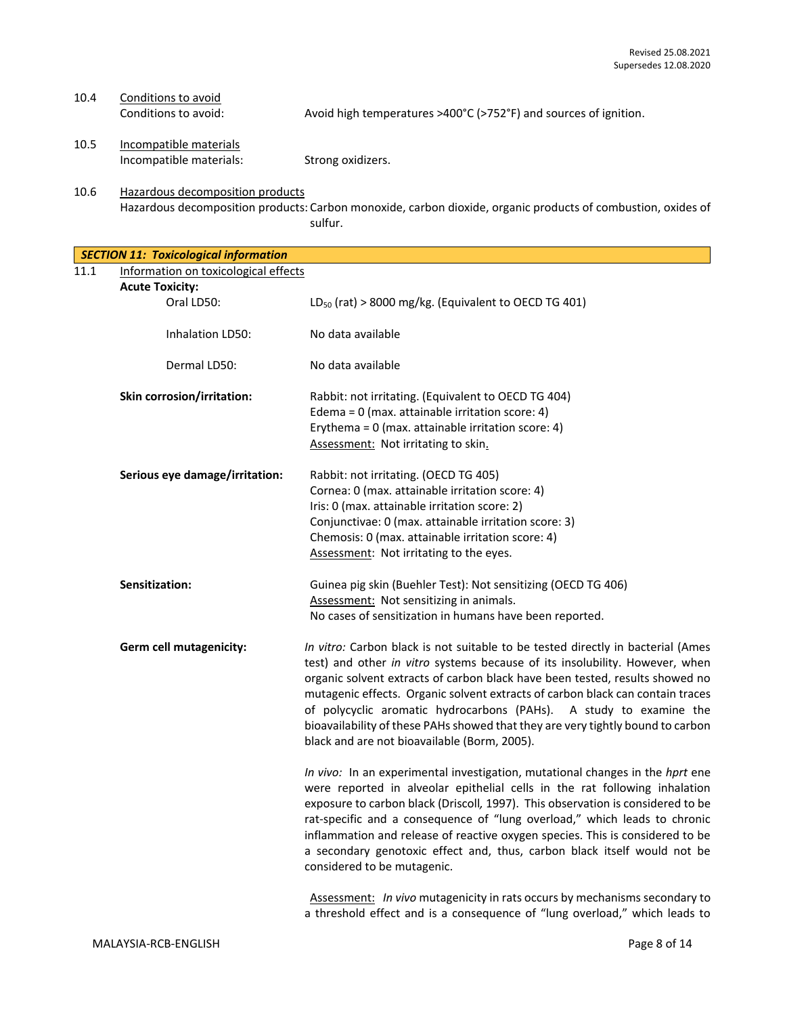# 10.4 Conditions to avoid:<br>Conditions to avoid:

Avoid high temperatures >400°C (>752°F) and sources of ignition.

10.5 Incompatible materials Incompatible materials: Strong oxidizers.

10.6 Hazardous decomposition products Hazardous decomposition products: Carbon monoxide, carbon dioxide, organic products of combustion, oxides of sulfur.

*SECTION 11: Toxicological information* 11.1 Information on toxicological effects

| <u>Information on toxicological effects</u><br><b>Acute Toxicity:</b> |                                                                                                                                                                                                                                                                                                                                                                                                                                                                                                                                           |
|-----------------------------------------------------------------------|-------------------------------------------------------------------------------------------------------------------------------------------------------------------------------------------------------------------------------------------------------------------------------------------------------------------------------------------------------------------------------------------------------------------------------------------------------------------------------------------------------------------------------------------|
| Oral LD50:                                                            | LD <sub>50</sub> (rat) > 8000 mg/kg. (Equivalent to OECD TG 401)                                                                                                                                                                                                                                                                                                                                                                                                                                                                          |
| Inhalation LD50:                                                      | No data available                                                                                                                                                                                                                                                                                                                                                                                                                                                                                                                         |
| Dermal LD50:                                                          | No data available                                                                                                                                                                                                                                                                                                                                                                                                                                                                                                                         |
| <b>Skin corrosion/irritation:</b>                                     | Rabbit: not irritating. (Equivalent to OECD TG 404)<br>Edema = 0 (max. attainable irritation score: 4)<br>Erythema = $0$ (max. attainable irritation score: 4)<br>Assessment: Not irritating to skin.                                                                                                                                                                                                                                                                                                                                     |
| Serious eye damage/irritation:                                        | Rabbit: not irritating. (OECD TG 405)<br>Cornea: 0 (max. attainable irritation score: 4)<br>Iris: 0 (max. attainable irritation score: 2)<br>Conjunctivae: 0 (max. attainable irritation score: 3)<br>Chemosis: 0 (max. attainable irritation score: 4)<br>Assessment: Not irritating to the eyes.                                                                                                                                                                                                                                        |
| Sensitization:                                                        | Guinea pig skin (Buehler Test): Not sensitizing (OECD TG 406)<br>Assessment: Not sensitizing in animals.<br>No cases of sensitization in humans have been reported.                                                                                                                                                                                                                                                                                                                                                                       |
| Germ cell mutagenicity:                                               | In vitro: Carbon black is not suitable to be tested directly in bacterial (Ames<br>test) and other in vitro systems because of its insolubility. However, when<br>organic solvent extracts of carbon black have been tested, results showed no<br>mutagenic effects. Organic solvent extracts of carbon black can contain traces<br>of polycyclic aromatic hydrocarbons (PAHs). A study to examine the<br>bioavailability of these PAHs showed that they are very tightly bound to carbon<br>black and are not bioavailable (Borm, 2005). |
|                                                                       | In vivo: In an experimental investigation, mutational changes in the hprt ene<br>were reported in alveolar epithelial cells in the rat following inhalation<br>exposure to carbon black (Driscoll, 1997). This observation is considered to be<br>rat-specific and a consequence of "lung overload," which leads to chronic<br>inflammation and release of reactive oxygen species. This is considered to be<br>a secondary genotoxic effect and, thus, carbon black itself would not be<br>considered to be mutagenic.                   |
|                                                                       |                                                                                                                                                                                                                                                                                                                                                                                                                                                                                                                                           |

Assessment: *In vivo* mutagenicity in rats occurs by mechanisms secondary to a threshold effect and is a consequence of "lung overload," which leads to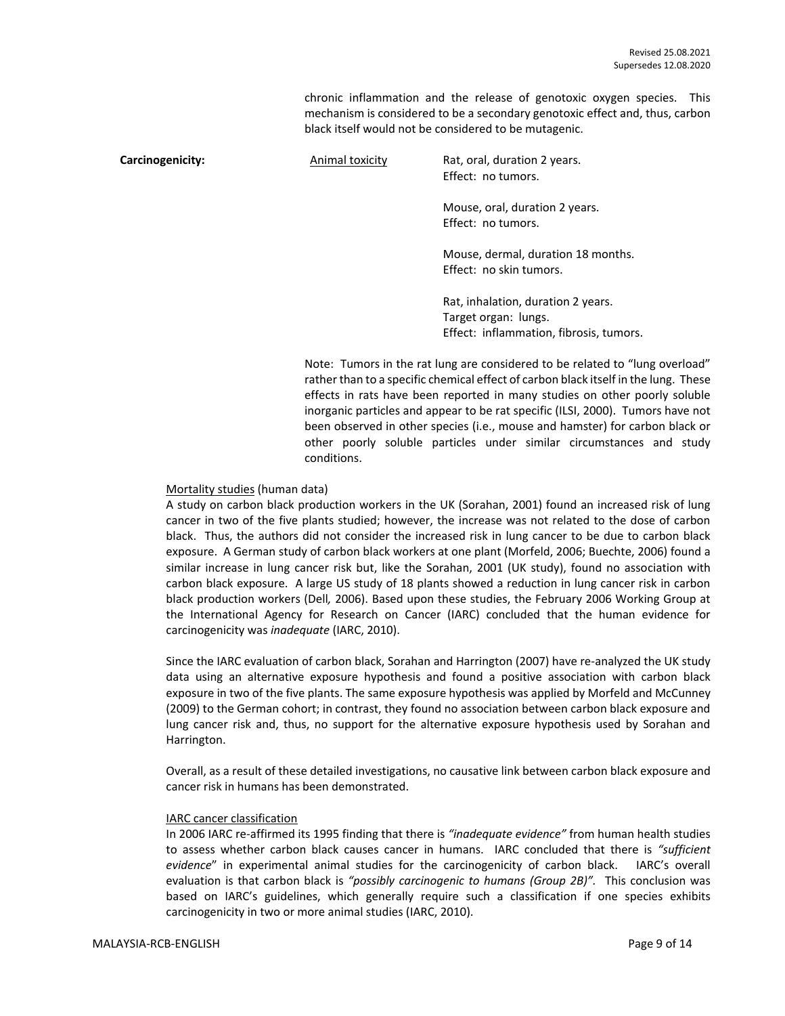chronic inflammation and the release of genotoxic oxygen species. This mechanism is considered to be a secondary genotoxic effect and, thus, carbon black itself would not be considered to be mutagenic.

**Carcinogenicity:** Animal toxicity Rat, oral, duration 2 years. Effect: no tumors. Mouse, oral, duration 2 years. Effect: no tumors. Mouse, dermal, duration 18 months. Effect: no skin tumors. Rat, inhalation, duration 2 years. Target organ: lungs. Effect: inflammation, fibrosis, tumors.

> Note: Tumors in the rat lung are considered to be related to "lung overload" rather than to a specific chemical effect of carbon black itself in the lung. These effects in rats have been reported in many studies on other poorly soluble inorganic particles and appear to be rat specific (ILSI, 2000). Tumors have not been observed in other species (i.e., mouse and hamster) for carbon black or other poorly soluble particles under similar circumstances and study conditions.

#### Mortality studies (human data)

A study on carbon black production workers in the UK (Sorahan, 2001) found an increased risk of lung cancer in two of the five plants studied; however, the increase was not related to the dose of carbon black. Thus, the authors did not consider the increased risk in lung cancer to be due to carbon black exposure. A German study of carbon black workers at one plant (Morfeld, 2006; Buechte, 2006) found a similar increase in lung cancer risk but, like the Sorahan, 2001 (UK study), found no association with carbon black exposure. A large US study of 18 plants showed a reduction in lung cancer risk in carbon black production workers (Dell*,* 2006). Based upon these studies, the February 2006 Working Group at the International Agency for Research on Cancer (IARC) concluded that the human evidence for carcinogenicity was *inadequate* (IARC, 2010).

Since the IARC evaluation of carbon black, Sorahan and Harrington (2007) have re-analyzed the UK study data using an alternative exposure hypothesis and found a positive association with carbon black exposure in two of the five plants. The same exposure hypothesis was applied by Morfeld and McCunney (2009) to the German cohort; in contrast, they found no association between carbon black exposure and lung cancer risk and, thus, no support for the alternative exposure hypothesis used by Sorahan and Harrington.

Overall, as a result of these detailed investigations, no causative link between carbon black exposure and cancer risk in humans has been demonstrated.

#### IARC cancer classification

In 2006 IARC re-affirmed its 1995 finding that there is *"inadequate evidence"* from human health studies to assess whether carbon black causes cancer in humans. IARC concluded that there is *"sufficient evidence*" in experimental animal studies for the carcinogenicity of carbon black. IARC's overall evaluation is that carbon black is *"possibly carcinogenic to humans (Group 2B)".* This conclusion was based on IARC's guidelines, which generally require such a classification if one species exhibits carcinogenicity in two or more animal studies (IARC, 2010).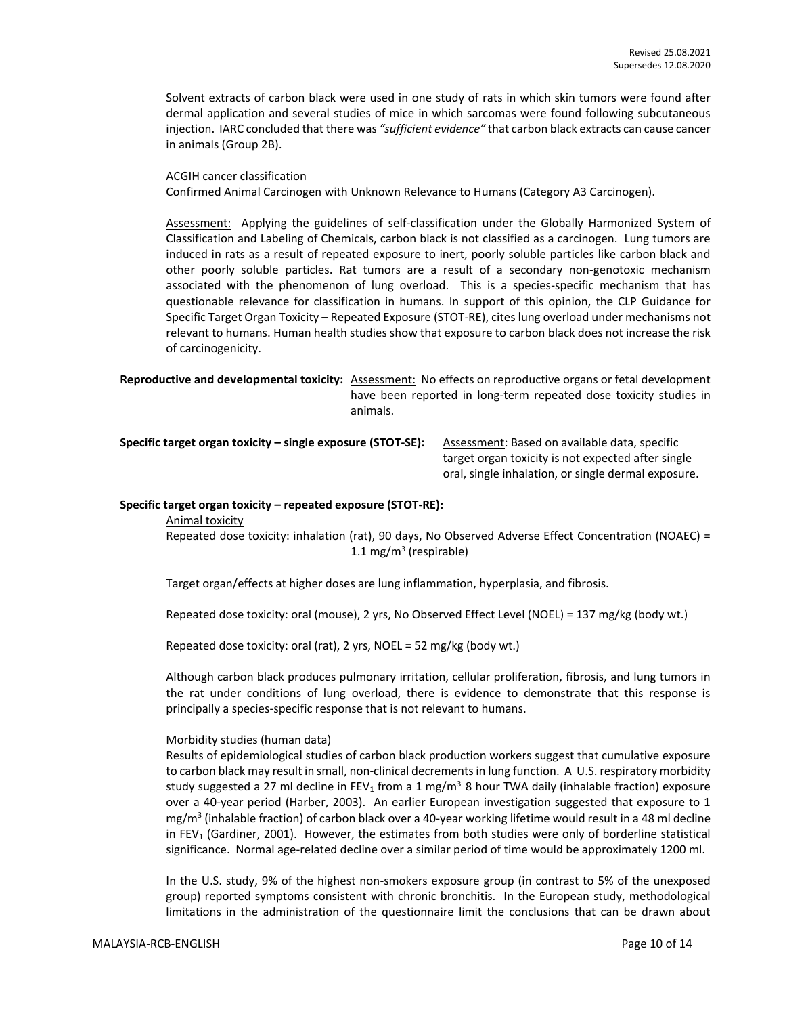Solvent extracts of carbon black were used in one study of rats in which skin tumors were found after dermal application and several studies of mice in which sarcomas were found following subcutaneous injection. IARC concluded that there was *"sufficient evidence"* that carbon black extracts can cause cancer in animals (Group 2B).

#### ACGIH cancer classification

Confirmed Animal Carcinogen with Unknown Relevance to Humans (Category A3 Carcinogen).

Assessment: Applying the guidelines of self-classification under the Globally Harmonized System of Classification and Labeling of Chemicals, carbon black is not classified as a carcinogen. Lung tumors are induced in rats as a result of repeated exposure to inert, poorly soluble particles like carbon black and other poorly soluble particles. Rat tumors are a result of a secondary non-genotoxic mechanism associated with the phenomenon of lung overload. This is a species-specific mechanism that has questionable relevance for classification in humans. In support of this opinion, the CLP Guidance for Specific Target Organ Toxicity – Repeated Exposure (STOT-RE), cites lung overload under mechanisms not relevant to humans. Human health studies show that exposure to carbon black does not increase the risk of carcinogenicity.

**Reproductive and developmental toxicity:** Assessment: No effects on reproductive organs or fetal development have been reported in long-term repeated dose toxicity studies in animals.

**Specific target organ toxicity – single exposure (STOT-SE):** Assessment: Based on available data, specific

target organ toxicity is not expected after single oral, single inhalation, or single dermal exposure.

#### **Specific target organ toxicity – repeated exposure (STOT-RE):**

Animal toxicity

Repeated dose toxicity: inhalation (rat), 90 days, No Observed Adverse Effect Concentration (NOAEC) = 1.1 mg/m<sup>3</sup> (respirable)

Target organ/effects at higher doses are lung inflammation, hyperplasia, and fibrosis.

Repeated dose toxicity: oral (mouse), 2 yrs, No Observed Effect Level (NOEL) = 137 mg/kg (body wt.)

Repeated dose toxicity: oral (rat), 2 yrs, NOEL = 52 mg/kg (body wt.)

Although carbon black produces pulmonary irritation, cellular proliferation, fibrosis, and lung tumors in the rat under conditions of lung overload, there is evidence to demonstrate that this response is principally a species-specific response that is not relevant to humans.

#### Morbidity studies (human data)

Results of epidemiological studies of carbon black production workers suggest that cumulative exposure to carbon black may result in small, non-clinical decrements in lung function. A U.S. respiratory morbidity study suggested a 27 ml decline in FEV<sub>1</sub> from a 1 mg/m<sup>3</sup> 8 hour TWA daily (inhalable fraction) exposure over a 40-year period (Harber, 2003). An earlier European investigation suggested that exposure to 1 mg/m<sup>3</sup> (inhalable fraction) of carbon black over a 40-year working lifetime would result in a 48 ml decline in FEV<sub>1</sub> (Gardiner, 2001). However, the estimates from both studies were only of borderline statistical significance. Normal age-related decline over a similar period of time would be approximately 1200 ml.

In the U.S. study, 9% of the highest non-smokers exposure group (in contrast to 5% of the unexposed group) reported symptoms consistent with chronic bronchitis. In the European study, methodological limitations in the administration of the questionnaire limit the conclusions that can be drawn about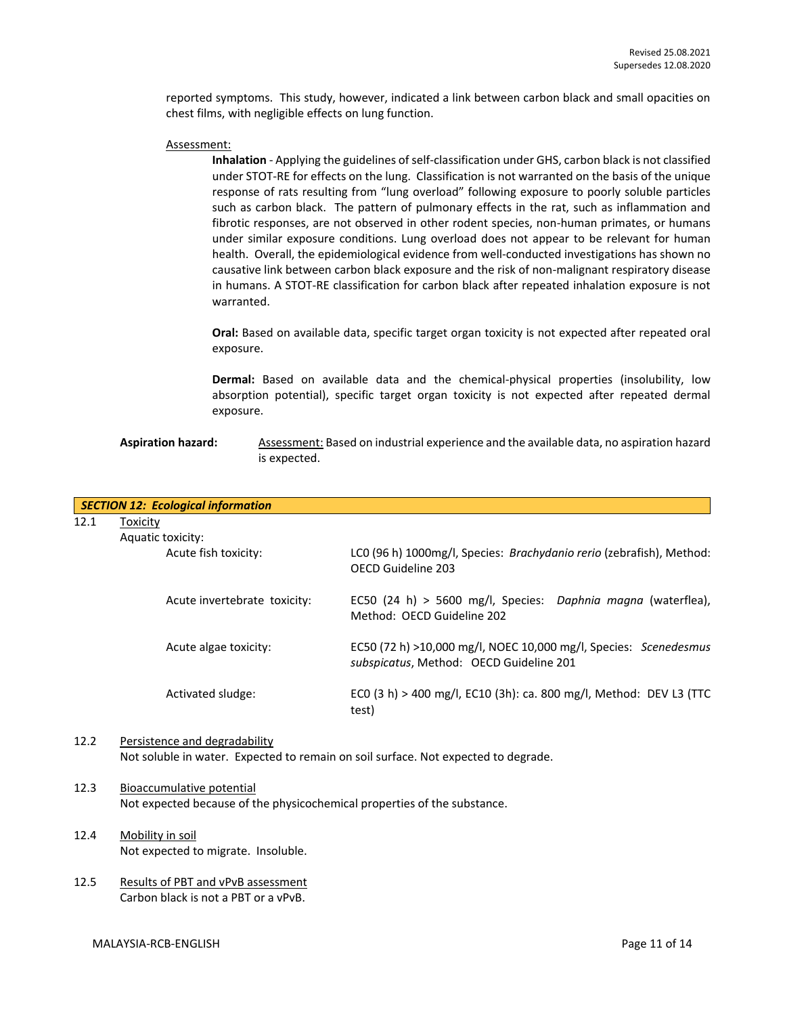reported symptoms. This study, however, indicated a link between carbon black and small opacities on chest films, with negligible effects on lung function.

#### Assessment:

**Inhalation** - Applying the guidelines of self-classification under GHS, carbon black is not classified under STOT-RE for effects on the lung. Classification is not warranted on the basis of the unique response of rats resulting from "lung overload" following exposure to poorly soluble particles such as carbon black. The pattern of pulmonary effects in the rat, such as inflammation and fibrotic responses, are not observed in other rodent species, non-human primates, or humans under similar exposure conditions. Lung overload does not appear to be relevant for human health. Overall, the epidemiological evidence from well-conducted investigations has shown no causative link between carbon black exposure and the risk of non-malignant respiratory disease in humans. A STOT-RE classification for carbon black after repeated inhalation exposure is not warranted.

**Oral:** Based on available data, specific target organ toxicity is not expected after repeated oral exposure.

**Dermal:** Based on available data and the chemical-physical properties (insolubility, low absorption potential), specific target organ toxicity is not expected after repeated dermal exposure.

#### Aspiration hazard: Assessment: Based on industrial experience and the available data, no aspiration hazard is expected.

|      | <b>SECTION 12: Ecological information</b> |                                                                                                             |
|------|-------------------------------------------|-------------------------------------------------------------------------------------------------------------|
| 12.1 | Toxicity                                  |                                                                                                             |
|      | Aquatic toxicity:                         |                                                                                                             |
|      | Acute fish toxicity:                      | LCO (96 h) 1000mg/l, Species: Brachydanio rerio (zebrafish), Method:<br>OFCD Guideline 203                  |
|      | Acute invertebrate toxicity:              | EC50 (24 h) > 5600 mg/l, Species: Daphnia magna (waterflea),<br>Method: OECD Guideline 202                  |
|      | Acute algae toxicity:                     | EC50 (72 h) >10,000 mg/l, NOEC 10,000 mg/l, Species: Scenedesmus<br>subspicatus, Method: OECD Guideline 201 |
|      | Activated sludge:                         | ECO (3 h) > 400 mg/l, EC10 (3h): ca. 800 mg/l, Method: DEV L3 (TTC<br>test)                                 |

#### 12.2 Persistence and degradability Not soluble in water. Expected to remain on soil surface. Not expected to degrade.

#### 12.3 Bioaccumulative potential Not expected because of the physicochemical properties of the substance.

- 12.4 Mobility in soil Not expected to migrate. Insoluble.
- 12.5 Results of PBT and vPvB assessment Carbon black is not a PBT or a vPvB.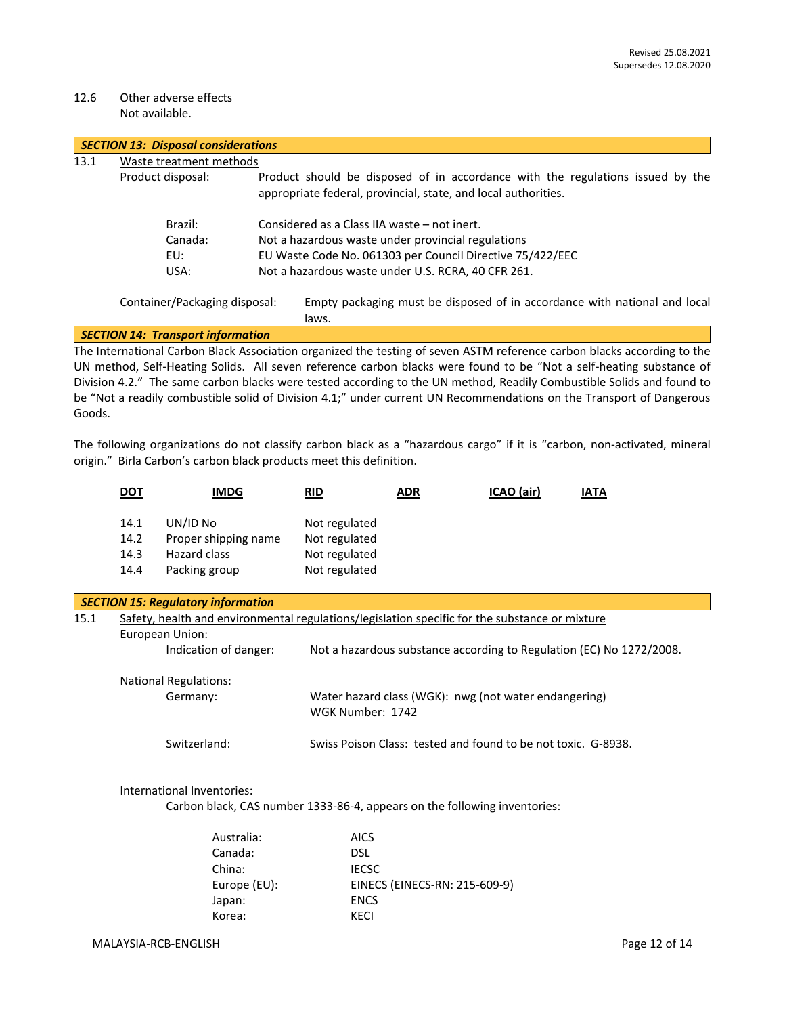#### 12.6 Other adverse effects Not available.

|      | <b>SECTION 13: Disposal considerations</b> |                                                                                                                                                  |  |  |  |  |
|------|--------------------------------------------|--------------------------------------------------------------------------------------------------------------------------------------------------|--|--|--|--|
| 13.1 | Waste treatment methods                    |                                                                                                                                                  |  |  |  |  |
|      | Product disposal:                          | Product should be disposed of in accordance with the regulations issued by the<br>appropriate federal, provincial, state, and local authorities. |  |  |  |  |
|      | Brazil:                                    | Considered as a Class IIA waste – not inert.                                                                                                     |  |  |  |  |
|      | Canada:                                    | Not a hazardous waste under provincial regulations                                                                                               |  |  |  |  |
|      | EU:                                        | EU Waste Code No. 061303 per Council Directive 75/422/EEC<br>Not a hazardous waste under U.S. RCRA, 40 CFR 261.                                  |  |  |  |  |
|      | USA:                                       |                                                                                                                                                  |  |  |  |  |
|      | Container/Packaging disposal:              | Empty packaging must be disposed of in accordance with national and local<br>laws.                                                               |  |  |  |  |
|      | <b>SECTION 14: Transport information</b>   |                                                                                                                                                  |  |  |  |  |
|      |                                            | The International Carbon Black Association organized the testing of seven ASTM reference carbon blacks according to the                          |  |  |  |  |

UN method, Self-Heating Solids. All seven reference carbon blacks were found to be "Not a self-heating substance of Division 4.2." The same carbon blacks were tested according to the UN method, Readily Combustible Solids and found to be "Not a readily combustible solid of Division 4.1;" under current UN Recommendations on the Transport of Dangerous Goods.

The following organizations do not classify carbon black as a "hazardous cargo" if it is "carbon, non-activated, mineral origin." Birla Carbon's carbon black products meet this definition.

|      | <u>DOT</u>                                                                                     | <b>IMDG</b>                                                               | <b>RID</b>                                                                | <b>ADR</b>                                                    | ICAO (air) | <b>IATA</b>                                                          |  |
|------|------------------------------------------------------------------------------------------------|---------------------------------------------------------------------------|---------------------------------------------------------------------------|---------------------------------------------------------------|------------|----------------------------------------------------------------------|--|
|      | 14.1                                                                                           | UN/ID No                                                                  | Not regulated                                                             |                                                               |            |                                                                      |  |
|      | 14.2                                                                                           | Proper shipping name                                                      | Not regulated                                                             |                                                               |            |                                                                      |  |
|      | 14.3                                                                                           | Hazard class                                                              | Not regulated                                                             |                                                               |            |                                                                      |  |
|      | 14.4                                                                                           | Packing group                                                             | Not regulated                                                             |                                                               |            |                                                                      |  |
|      |                                                                                                | <b>SECTION 15: Regulatory information</b>                                 |                                                                           |                                                               |            |                                                                      |  |
| 15.1 | Safety, health and environmental regulations/legislation specific for the substance or mixture |                                                                           |                                                                           |                                                               |            |                                                                      |  |
|      | European Union:                                                                                |                                                                           |                                                                           |                                                               |            |                                                                      |  |
|      |                                                                                                | Indication of danger:                                                     |                                                                           |                                                               |            | Not a hazardous substance according to Regulation (EC) No 1272/2008. |  |
|      | <b>National Regulations:</b>                                                                   |                                                                           |                                                                           |                                                               |            |                                                                      |  |
|      |                                                                                                | Germany:                                                                  | Water hazard class (WGK): nwg (not water endangering)<br>WGK Number: 1742 |                                                               |            |                                                                      |  |
|      |                                                                                                | Switzerland:                                                              |                                                                           | Swiss Poison Class: tested and found to be not toxic. G-8938. |            |                                                                      |  |
|      |                                                                                                | International Inventories:                                                |                                                                           |                                                               |            |                                                                      |  |
|      |                                                                                                | Carbon black, CAS number 1333-86-4, appears on the following inventories: |                                                                           |                                                               |            |                                                                      |  |
|      |                                                                                                | Australia:                                                                | <b>AICS</b>                                                               |                                                               |            |                                                                      |  |
|      |                                                                                                | Canada:                                                                   | <b>DSL</b>                                                                |                                                               |            |                                                                      |  |
|      |                                                                                                | China:                                                                    | <b>IECSC</b>                                                              |                                                               |            |                                                                      |  |
|      |                                                                                                | Europe (EU):                                                              |                                                                           | EINECS (EINECS-RN: 215-609-9)                                 |            |                                                                      |  |
|      |                                                                                                | Japan:                                                                    | <b>ENCS</b>                                                               |                                                               |            |                                                                      |  |
|      |                                                                                                | Korea:                                                                    | <b>KECI</b>                                                               |                                                               |            |                                                                      |  |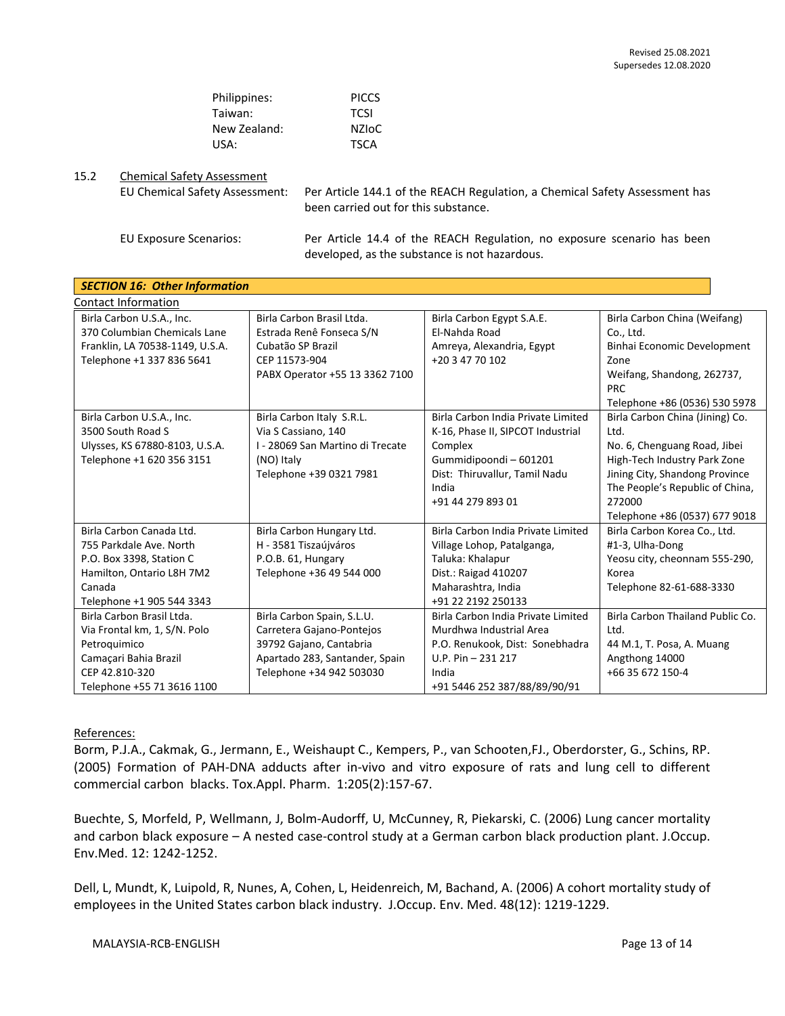| Philippines: | <b>PICCS</b> |
|--------------|--------------|
| Taiwan:      | <b>TCSI</b>  |
| New Zealand: | NZIoC        |
| USA:         | <b>TSCA</b>  |

#### 15.2 Chemical Safety Assessment

EU Chemical Safety Assessment: Per Article 144.1 of the REACH Regulation, a Chemical Safety Assessment has been carried out for this substance.

EU Exposure Scenarios: Per Article 14.4 of the REACH Regulation, no exposure scenario has been developed, as the substance is not hazardous.

| <b>SECTION 16: Other Information</b> |                                  |                                    |                                  |  |  |  |  |
|--------------------------------------|----------------------------------|------------------------------------|----------------------------------|--|--|--|--|
| <b>Contact Information</b>           |                                  |                                    |                                  |  |  |  |  |
| Birla Carbon U.S.A., Inc.            | Birla Carbon Brasil Ltda.        | Birla Carbon Egypt S.A.E.          | Birla Carbon China (Weifang)     |  |  |  |  |
| 370 Columbian Chemicals Lane         | Estrada Renê Fonseca S/N         | El-Nahda Road                      | Co., Ltd.                        |  |  |  |  |
| Franklin, LA 70538-1149, U.S.A.      | Cubatão SP Brazil                | Amreya, Alexandria, Egypt          | Binhai Economic Development      |  |  |  |  |
| Telephone +1 337 836 5641            | CEP 11573-904                    | +20 3 47 70 102                    | Zone                             |  |  |  |  |
|                                      | PABX Operator +55 13 3362 7100   |                                    | Weifang, Shandong, 262737,       |  |  |  |  |
|                                      |                                  |                                    | <b>PRC</b>                       |  |  |  |  |
|                                      |                                  |                                    | Telephone +86 (0536) 530 5978    |  |  |  |  |
| Birla Carbon U.S.A., Inc.            | Birla Carbon Italy S.R.L.        | Birla Carbon India Private Limited | Birla Carbon China (Jining) Co.  |  |  |  |  |
| 3500 South Road S                    | Via S Cassiano, 140              | K-16, Phase II, SIPCOT Industrial  | Ltd.                             |  |  |  |  |
| Ulysses, KS 67880-8103, U.S.A.       | I - 28069 San Martino di Trecate | Complex                            | No. 6, Chenguang Road, Jibei     |  |  |  |  |
| Telephone +1 620 356 3151            | (NO) Italy                       | Gummidipoondi-601201               | High-Tech Industry Park Zone     |  |  |  |  |
|                                      | Telephone +39 0321 7981          | Dist: Thiruvallur, Tamil Nadu      | Jining City, Shandong Province   |  |  |  |  |
|                                      |                                  | India                              | The People's Republic of China,  |  |  |  |  |
|                                      |                                  | +91 44 279 893 01                  | 272000                           |  |  |  |  |
|                                      |                                  |                                    | Telephone +86 (0537) 677 9018    |  |  |  |  |
| Birla Carbon Canada Ltd.             | Birla Carbon Hungary Ltd.        | Birla Carbon India Private Limited | Birla Carbon Korea Co., Ltd.     |  |  |  |  |
| 755 Parkdale Ave. North              | H - 3581 Tiszaújváros            | Village Lohop, Patalganga,         | #1-3, Ulha-Dong                  |  |  |  |  |
| P.O. Box 3398, Station C             | P.O.B. 61, Hungary               | Taluka: Khalapur                   | Yeosu city, cheonnam 555-290,    |  |  |  |  |
| Hamilton, Ontario L8H 7M2            | Telephone +36 49 544 000         | Dist.: Raigad 410207               | Korea                            |  |  |  |  |
| Canada                               |                                  | Maharashtra, India                 | Telephone 82-61-688-3330         |  |  |  |  |
| Telephone +1 905 544 3343            |                                  | +91 22 2192 250133                 |                                  |  |  |  |  |
| Birla Carbon Brasil Ltda.            | Birla Carbon Spain, S.L.U.       | Birla Carbon India Private Limited | Birla Carbon Thailand Public Co. |  |  |  |  |
| Via Frontal km, 1, S/N. Polo         | Carretera Gajano-Pontejos        | Murdhwa Industrial Area            | Ltd.                             |  |  |  |  |
| Petroquimico                         | 39792 Gajano, Cantabria          | P.O. Renukook, Dist: Sonebhadra    | 44 M.1, T. Posa, A. Muang        |  |  |  |  |
| Camaçari Bahia Brazil                | Apartado 283, Santander, Spain   | U.P. Pin $-231217$                 | Angthong 14000                   |  |  |  |  |
| CEP 42.810-320                       | Telephone +34 942 503030         | India                              | +66 35 672 150-4                 |  |  |  |  |
| Telephone +55 71 3616 1100           |                                  | +91 5446 252 387/88/89/90/91       |                                  |  |  |  |  |

References:

Borm, P.J.A., Cakmak, G., Jermann, E., Weishaupt C., Kempers, P., van Schooten,FJ., Oberdorster, G., Schins, RP. (2005) Formation of PAH-DNA adducts after in-vivo and vitro exposure of rats and lung cell to different commercial carbon blacks. Tox.Appl. Pharm. 1:205(2):157-67.

Buechte, S, Morfeld, P, Wellmann, J, Bolm-Audorff, U, McCunney, R, Piekarski, C. (2006) Lung cancer mortality and carbon black exposure – A nested case-control study at a German carbon black production plant. J.Occup. Env.Med. 12: 1242-1252.

Dell, L, Mundt, K, Luipold, R, Nunes, A, Cohen, L, Heidenreich, M, Bachand, A. (2006) A cohort mortality study of employees in the United States carbon black industry. J.Occup. Env. Med. 48(12): 1219-1229.